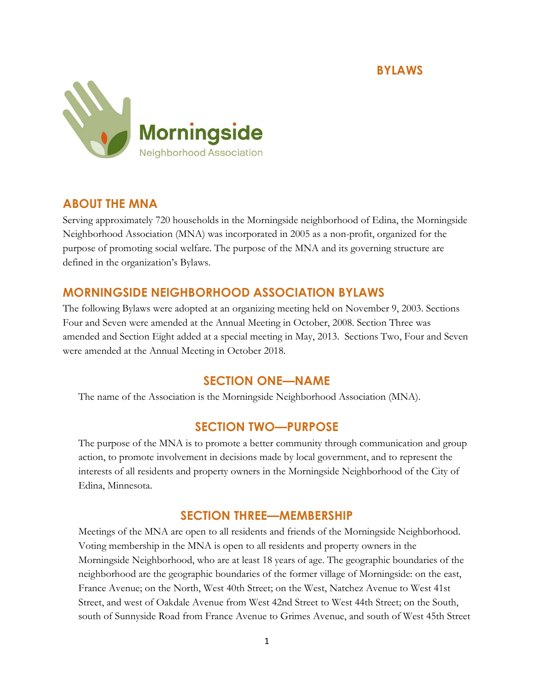

# ABOUT THE MNA

Serving approximately 720 households in the Morningside neighborhood of Edina, the Morningside Neighborhood Association (MNA) was incorporated in 2005 as a non-profit, organized for the purpose of promoting social welfare. The purpose of the MNA and its governing structure are defined in the organization's Bylaws.

# MORNINGSIDE NEIGHBORHOOD ASSOCIATION BYLAWS

The following Bylaws were adopted at an organizing meeting held on November 9, 2003. Sections Four and Seven were amended at the Annual Meeting in October, 2008. Section Three was amended and Section Eight added at a special meeting in May, 2013. Sections Two, Four and Seven were amended at the Annual Meeting in October 2018.

## SECTION ONE—NAME

The name of the Association is the Morningside Neighborhood Association (MNA).

## SECTION TWO—PURPOSE

The purpose of the MNA is to promote a better community through communication and group action, to promote involvement in decisions made by local government, and to represent the interests of all residents and property owners in the Morningside Neighborhood of the City of Edina, Minnesota.

## SECTION THREE—MEMBERSHIP

Meetings of the MNA are open to all residents and friends of the Morningside Neighborhood. Voting membership in the MNA is open to all residents and property owners in the Morningside Neighborhood, who are at least 18 years of age. The geographic boundaries of the neighborhood are the geographic boundaries of the former village of Morningside: on the east, France Avenue; on the North, West 40th Street; on the West, Natchez Avenue to West 41st Street, and west of Oakdale Avenue from West 42nd Street to West 44th Street; on the South, south of Sunnyside Road from France Avenue to Grimes Avenue, and south of West 45th Street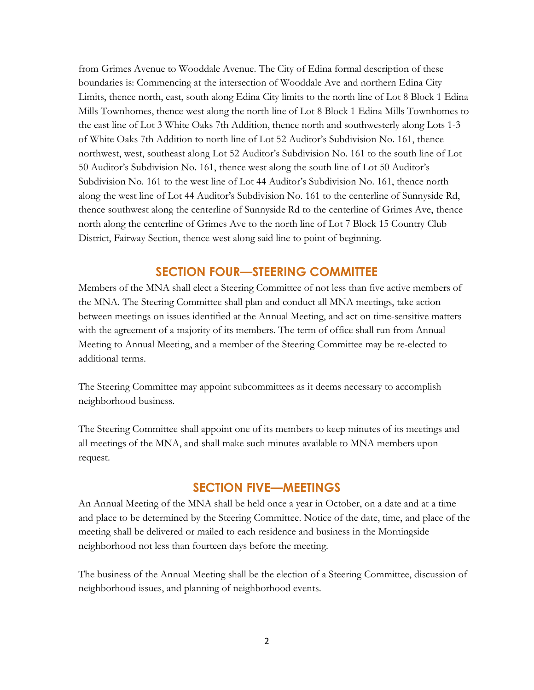from Grimes Avenue to Wooddale Avenue. The City of Edina formal description of these boundaries is: Commencing at the intersection of Wooddale Ave and northern Edina City Limits, thence north, east, south along Edina City limits to the north line of Lot 8 Block 1 Edina Mills Townhomes, thence west along the north line of Lot 8 Block 1 Edina Mills Townhomes to the east line of Lot 3 White Oaks 7th Addition, thence north and southwesterly along Lots 1-3 of White Oaks 7th Addition to north line of Lot 52 Auditor's Subdivision No. 161, thence northwest, west, southeast along Lot 52 Auditor's Subdivision No. 161 to the south line of Lot 50 Auditor's Subdivision No. 161, thence west along the south line of Lot 50 Auditor's Subdivision No. 161 to the west line of Lot 44 Auditor's Subdivision No. 161, thence north along the west line of Lot 44 Auditor's Subdivision No. 161 to the centerline of Sunnyside Rd, thence southwest along the centerline of Sunnyside Rd to the centerline of Grimes Ave, thence north along the centerline of Grimes Ave to the north line of Lot 7 Block 15 Country Club District, Fairway Section, thence west along said line to point of beginning.

### SECTION FOUR—STEERING COMMITTEE

Members of the MNA shall elect a Steering Committee of not less than five active members of the MNA. The Steering Committee shall plan and conduct all MNA meetings, take action between meetings on issues identified at the Annual Meeting, and act on time-sensitive matters with the agreement of a majority of its members. The term of office shall run from Annual Meeting to Annual Meeting, and a member of the Steering Committee may be re-elected to additional terms.

The Steering Committee may appoint subcommittees as it deems necessary to accomplish neighborhood business.

The Steering Committee shall appoint one of its members to keep minutes of its meetings and all meetings of the MNA, and shall make such minutes available to MNA members upon request.

## SECTION FIVE—MEETINGS

An Annual Meeting of the MNA shall be held once a year in October, on a date and at a time and place to be determined by the Steering Committee. Notice of the date, time, and place of the meeting shall be delivered or mailed to each residence and business in the Morningside neighborhood not less than fourteen days before the meeting.

The business of the Annual Meeting shall be the election of a Steering Committee, discussion of neighborhood issues, and planning of neighborhood events.